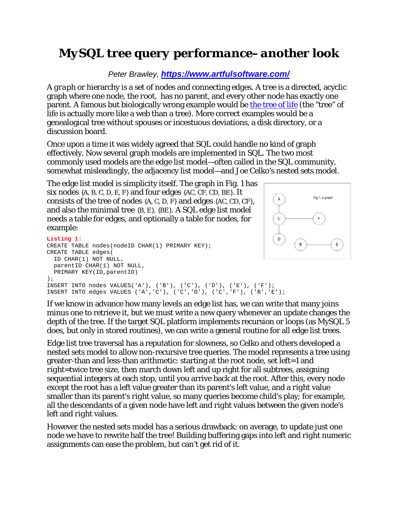## *MySQL tree query performance–another look*

## *Peter Brawley, https://www.artfulsoftware.com/*

A *graph* or hierarchy is a set of *nodes* [and connecting](https://www.artfulsoftware.com/) *edges*. A *tree* is a directed, acyclic graph where one node, the *root*, has no parent, and every other node has exactly one parent. A famous but biologically wrong example would be [the tree of life](http://tolweb.org/tree/) (the "tree" of life is actually more like a web than a tree). More correct examples would be a genealogical tree without spouses or incestuous deviations, a disk directory, or a discussion board.

Once upon a time it was widely agreed that SQL could handle *no* kind of graph effectively. Now several graph models are implemented in SQL. The two most commonly used models are the *edge list* model—often called in the SQL community, somewhat misleadingly, the adjacency list model—and Joe Celko's *nested sets* model.

The edge list model is simplicity itself. The graph in Fig. 1 has six nodes {A, B, C, D, E, F} and four edges {AC, CF, CD, BE}. It consists of the tree of nodes {A, C, D, F} and edges {AC, CD, CF}, and also the minimal tree {B, E}, {BE}. A SQL edge list model needs a table for edges, and optionally a table for nodes, for example:

## **Listing 1:**

```
CREATE TABLE nodes(nodeID CHAR(1) PRIMARY KEY); 
CREATE TABLE edges( 
  ID CHAR(1) NOT NULL, 
  parentID CHAR(1) NOT NULL, 
  PRIMARY KEY(ID,parentID) 
); 
INSERT INTO nodes VALUES('A'), ('B'), ('C'), ('D'), ('E'), ('F'); 
INSERT INTO edges VALUES ('A','C'), ('C','D'), ('C','F'), ('B','E');
```


If we know in advance how many levels an edge list has, we can write that many joins minus one to retrieve it, but we must write a new query whenever an update changes the depth of the tree. If the target SQL platform implements recursion or loops (as MySQL 5 does, but only in stored routines), we can write a general routine for all edge list trees.

Edge list tree traversal has a reputation for slowness, so Celko and others developed a nested sets model to allow non-recursive tree queries. The model represents a tree using greater-than and less-than arithmetic: starting at the root node, set *left*=1 and *right*=twice tree size, then march down left and up right for all subtrees, assigning sequential integers at each stop, until you arrive back at the root. After this, every node except the root has a *left* value greater than its parent's *left* value, and a *right* value smaller than its parent's *right* value, so many queries become child's play; for example, all the descendants of a given node have *left* and *right* values between the given node's *left* and *right* values.

However the nested sets model has a serious drawback: on average, to update just one node we have to rewrite half the tree! Building buffering gaps into *left* and *right* numeric assignments can ease the problem, but can't get rid of it.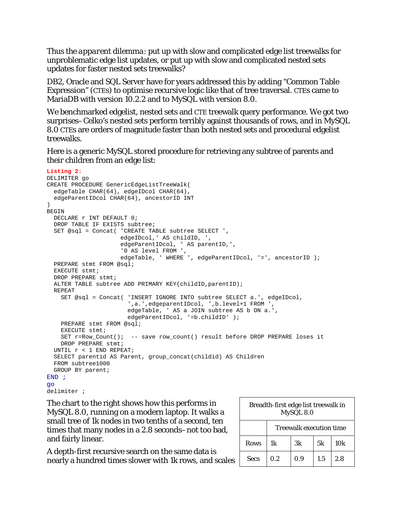*Thus the apparent dilemma*: put up with slow and complicated edge list treewalks for unproblematic edge list updates, or put up with slow and complicated nested sets updates for faster nested sets treewalks?

DB2, Oracle and SQL Server have for years addressed this by adding "Common Table Expression" (CTEs) to optimise recursive logic like that of tree traversal. CTEs came to MariaDB with version 10.2.2 and to MySQL with version 8.0.

We benchmarked edgelist, nested sets and CTE treewalk query performance. We got two surprises–Celko's nested sets perform terribly against thousands of rows, and in MySQL 8.0 CTEs are orders of magnitude faster than both nested sets and procedural edgelist treewalks.

Here is a generic MySQL stored procedure for retrieving any subtree of parents and their children from an edge list:

```
Listing 2: 
DELIMITER go 
CREATE PROCEDURE GenericEdgeListTreeWalk( 
   edgeTable CHAR(64), edgeIDcol CHAR(64), 
   edgeParentIDcol CHAR(64), ancestorID INT 
\lambdaBEGIN 
  DECLARE r INT DEFAULT 0; 
   DROP TABLE IF EXISTS subtree; 
   SET @sql = Concat( 'CREATE TABLE subtree SELECT ', 
                       edgeIDcol,' AS childID, ', 
                       edgeParentIDcol, ' AS parentID,', 
                       '0 AS level FROM ', 
                      edgeTable, ' WHERE ', edgeParentIDcol, '=', ancestorID );
   PREPARE stmt FROM @sql; 
   EXECUTE stmt; 
   DROP PREPARE stmt; 
   ALTER TABLE subtree ADD PRIMARY KEY(childID,parentID); 
  REPEAT 
    SET @sql = Concat( 'INSERT IGNORE INTO subtree SELECT a.', edgeIDcol, 
                         ',a.',edgeparentIDcol, ',b.level+1 FROM ', 
                         edgeTable, ' AS a JOIN subtree AS b ON a.', 
                        edgeParentIDcol, '=b.childID' );
     PREPARE stmt FROM @sql; 
     EXECUTE stmt; 
    SET r=Row_Count(); -- save row_count() result before DROP PREPARE loses it 
   DROP PREPARE stmt;
  UNTIL r < 1 END REPEAT;
   SELECT parentid AS Parent, group_concat(childid) AS Children 
  FROM subtree1000 
  GROUP BY parent; 
END ; 
go
```

```
delimiter ;
```
The chart to the right shows how this performs in MySQL 8.0, running on a modern laptop. It walks a small tree of 1k nodes in two tenths of a second, ten times that many nodes in a 2.8 seconds–not too bad, and fairly linear.

A depth-first recursive search on the same data is nearly a hundred times slower with 1k rows, and scales

| Breadth-first edge list treewalk in<br>MySQL 8.0 |                                |     |     |     |  |  |  |
|--------------------------------------------------|--------------------------------|-----|-----|-----|--|--|--|
|                                                  | <b>Treewalk execution time</b> |     |     |     |  |  |  |
| <b>Rows</b>                                      | 1k                             | 3k  | 5k  | 10k |  |  |  |
| <b>Secs</b>                                      | 0.2                            | 0.9 | 1.5 | 2.8 |  |  |  |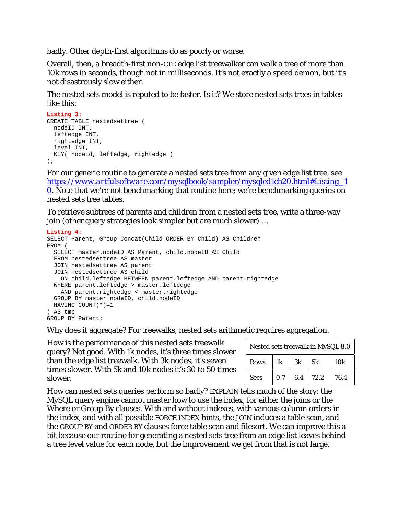badly. Other depth-first algorithms do as poorly or worse.

Overall, then, a breadth-first non-CTE edge list treewalker can walk a tree of more than 10k rows in seconds, though not in milliseconds. It's not exactly a speed demon, but it's not disastrously slow either.

The nested sets model is reputed to be faster. Is it? We store nested sets trees in tables like this:

```
Listing 3: 
CREATE TABLE nestedsettree ( 
   nodeID INT, 
   leftedge INT, 
  rightedge INT, 
  level INT, 
  KEY( nodeid, leftedge, rightedge ) 
);
```
For our generic routine to generate a nested sets tree from any given edge list tree, see *[https://www.artfulsoftware.com/mysqlbook/sampler/mysqled1ch20.html#Listing\\_1](https://www.artfulsoftware.com/mysqlbook/sampler/mysqled1ch20.html#Listing_10) 0*. Note that we're not benchmarking that routine here; we're benchmarking queries on [ne](https://www.artfulsoftware.com/mysqlbook/sampler/mysqled1ch20.html#Listing_10)sted sets tree tables.

To retrieve subtrees of parents and children from a nested sets tree, write a three-way join (other query strategies look simpler but are much slower) …

```
Listing 4: 
SELECT Parent, Group_Concat(Child ORDER BY Child) AS Children 
FROM ( 
  SELECT master.nodeID AS Parent, child.nodeID AS Child 
  FROM nestedsettree AS master 
  JOIN nestedsettree AS parent 
   JOIN nestedsettree AS child 
     ON child.leftedge BETWEEN parent.leftedge AND parent.rightedge 
   WHERE parent.leftedge > master.leftedge 
    AND parent.rightedge < master.rightedge 
  GROUP BY master.nodeID, child.nodeID 
  HAVING COUNT(*)=1 
) AS tmp 
GROUP BY Parent;
```
Why does it aggregate? For treewalks, nested sets arithmetic requires aggregation.

How is the performance of this nested sets treewalk query? Not good. With 1k nodes, it's three times slower than the edge list treewalk. With 3k nodes, it's seven times slower. With 5k and 10k nodes it's 30 to 50 times slower.

| Nested sets treewalk in MySQL 8.0 |     |     |      |      |  |  |
|-----------------------------------|-----|-----|------|------|--|--|
| <b>Rows</b>                       | 1k  | 3k  | 5k   | 10k  |  |  |
| <b>Secs</b>                       | 0.7 | 6.4 | 72.2 | 76.4 |  |  |

How can nested sets queries perform so badly? EXPLAIN tells much of the story: the MySQL query engine cannot master how to use the index, for either the joins or the Where or Group By clauses. With and without indexes, with various column orders in the index, and with all possible FORCE INDEX hints, the JOIN induces a table scan, and the GROUP BY and ORDER BY clauses force table scan and filesort. We can improve this a bit because our routine for generating a nested sets tree from an edge list leaves behind a tree level value for each node, but the improvement we get from that is not large.